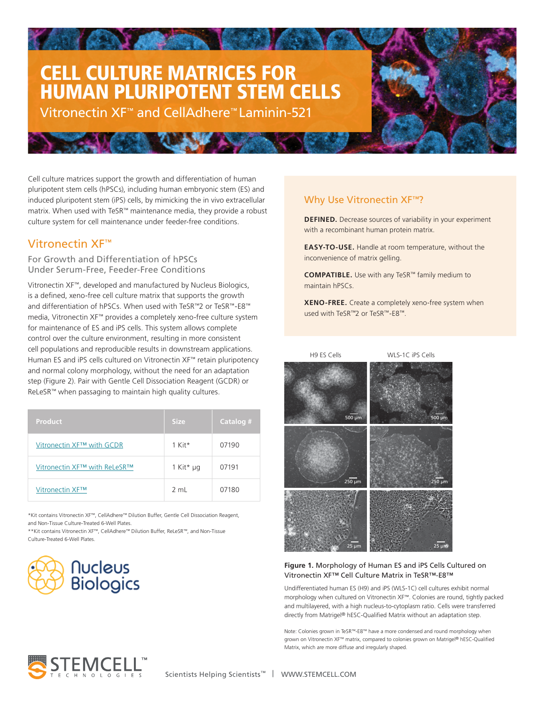# CELL CULTURE MATRICES FOR HUMAN PLURIPOTENT STEM CELLS

Vitronectin XF™ and CellAdhere™ Laminin-521

culture system for cell maintenance under feeder-free conditions.<br>. Cell culture matrices support the growth and differentiation of human pluripotent stem cells (hPSCs), including human embryonic stem (ES) and induced pluripotent stem (iPS) cells, by mimicking the in vivo extracellular matrix. When used with TeSR™ maintenance media, they provide a robust

**ANTICOLOGICAL** 

## Vitronectin XF™

For Growth and Differentiation of hPSCs<br>Under Service Free, Feeder Free Gonditions Under Serum-Free, Feeder-Free Conditions

Vitronectin XF™, developed and manufactured by Nucleus Biologics, is a defined, xeno-free cell culture matrix that supports the growth and differentiation of hPSCs. When used with TeSR™2 or TeSR™-E8™ media, Vitronectin XF™ provides a completely xeno-free culture system for maintenance of ES and iPS cells. This system allows complete control over the culture environment, resulting in more consistent cell populations and reproducible results in downstream applications. Human ES and iPS cells cultured on Vitronectin XF™ retain pluripotency and normal colony morphology, without the need for an adaptation step (Figure 2). Pair with Gentle Cell Dissociation Reagent (GCDR) or ReLeSR™ when passaging to maintain high quality cultures.

| <b>Product</b>               | <b>Size</b>    | Catalog # |
|------------------------------|----------------|-----------|
| Vitronectin XF™ with GCDR    | $1$ Kit*       | 07190     |
| Vitronectin XF™ with ReLeSR™ | 1 Kit* µg      | 07191     |
| Vitronectin XF™              | $2 \text{ ml}$ | 07180     |

\*Kit contains Vitronectin XF™, CellAdhere™ Dilution Buffer, Gentle Cell Dissociation Reagent, and Non-Tissue Culture-Treated 6-Well Plates.

\*\*Kit contains Vitronectin XF™, CellAdhere™ Dilution Buffer, ReLeSR™, and Non-Tissue Culture-Treated 6-Well Plates.



## Why Use Vitronectin XF<sup>™</sup>?

**DEFINED.** Decrease sources of variability in your experiment with a recombinant human protein matrix.

**EASY-TO-USE.** Handle at room temperature, without the inconvenience of matrix gelling.

**COMPATIBLE.** Use with any TeSR™ family medium to maintain hPSCs.

**XENO-FREE.** Create a completely xeno-free system when used with TeSR™2 or TeSR™-E8™.



#### **Figure 1.** Morphology of Human ES and iPS Cells Cultured on Vitronectin XF™ Cell Culture Matrix in TeSR™-E8™

Undifferentiated human ES (H9) and iPS (WLS-1C) cell cultures exhibit normal morphology when cultured on Vitronectin XF™. Colonies are round, tightly packed and multilayered, with a high nucleus-to-cytoplasm ratio. Cells were transferred directly from Matrigel® hESC-Qualified Matrix without an adaptation step.

Note: Colonies grown in TeSR™-E8™ have a more condensed and round morphology when grown on Vitronectin XF™ matrix, compared to colonies grown on Matrigel® hESC-Qualified Matrix, which are more diffuse and irregularly shaped.